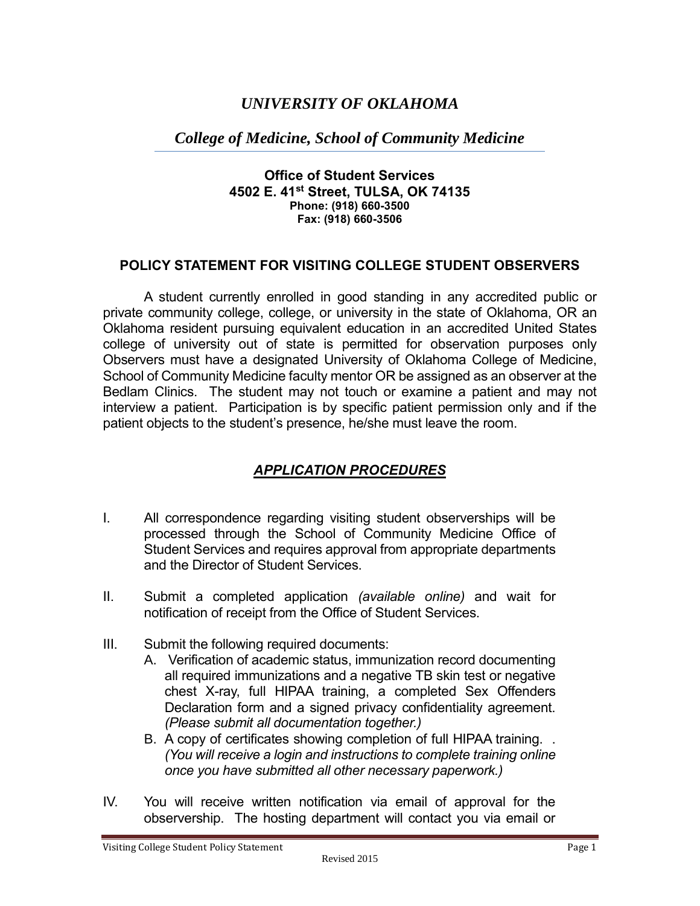# *UNIVERSITY OF OKLAHOMA*

## *College of Medicine, School of Community Medicine*

#### **Office of Student Services 4502 E. 41st Street, TULSA, OK 74135 Phone: (918) 660-3500 Fax: (918) 660-3506**

### **POLICY STATEMENT FOR VISITING COLLEGE STUDENT OBSERVERS**

A student currently enrolled in good standing in any accredited public or private community college, college, or university in the state of Oklahoma, OR an Oklahoma resident pursuing equivalent education in an accredited United States college of university out of state is permitted for observation purposes only Observers must have a designated University of Oklahoma College of Medicine, School of Community Medicine faculty mentor OR be assigned as an observer at the Bedlam Clinics. The student may not touch or examine a patient and may not interview a patient. Participation is by specific patient permission only and if the patient objects to the student's presence, he/she must leave the room.

### *APPLICATION PROCEDURES*

- I. All correspondence regarding visiting student observerships will be processed through the School of Community Medicine Office of Student Services and requires approval from appropriate departments and the Director of Student Services.
- II. Submit a completed application *(available online)* and wait for notification of receipt from the Office of Student Services.
- III. Submit the following required documents:
	- A. Verification of academic status, immunization record documenting all required immunizations and a negative TB skin test or negative chest X-ray, full HIPAA training, a completed Sex Offenders Declaration form and a signed privacy confidentiality agreement. *(Please submit all documentation together.)*
	- B. A copy of certificates showing completion of full HIPAA training. . *(You will receive a login and instructions to complete training online once you have submitted all other necessary paperwork.)*
- IV. You will receive written notification via email of approval for the observership. The hosting department will contact you via email or